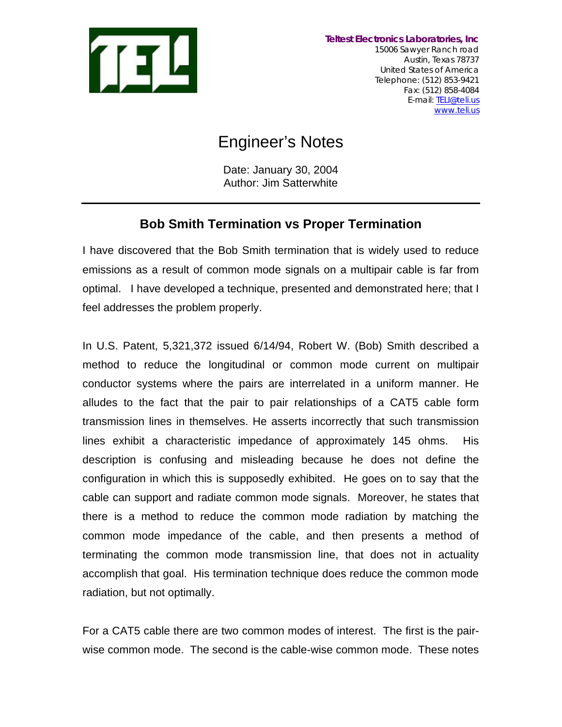

# Engineer's Notes

Date: January 30, 2004 Author: Jim Satterwhite

# **Bob Smith Termination vs Proper Termination**

I have discovered that the Bob Smith termination that is widely used to reduce emissions as a result of common mode signals on a multipair cable is far from optimal. I have developed a technique, presented and demonstrated here; that I feel addresses the problem properly.

In U.S. Patent, 5,321,372 issued 6/14/94, Robert W. (Bob) Smith described a method to reduce the longitudinal or common mode current on multipair conductor systems where the pairs are interrelated in a uniform manner. He alludes to the fact that the pair to pair relationships of a CAT5 cable form transmission lines in themselves. He asserts incorrectly that such transmission lines exhibit a characteristic impedance of approximately 145 ohms. His description is confusing and misleading because he does not define the configuration in which this is supposedly exhibited. He goes on to say that the cable can support and radiate common mode signals. Moreover, he states that there is a method to reduce the common mode radiation by matching the common mode impedance of the cable, and then presents a method of terminating the common mode transmission line, that does not in actuality accomplish that goal. His termination technique does reduce the common mode radiation, but not optimally.

For a CAT5 cable there are two common modes of interest. The first is the pairwise common mode. The second is the cable-wise common mode. These notes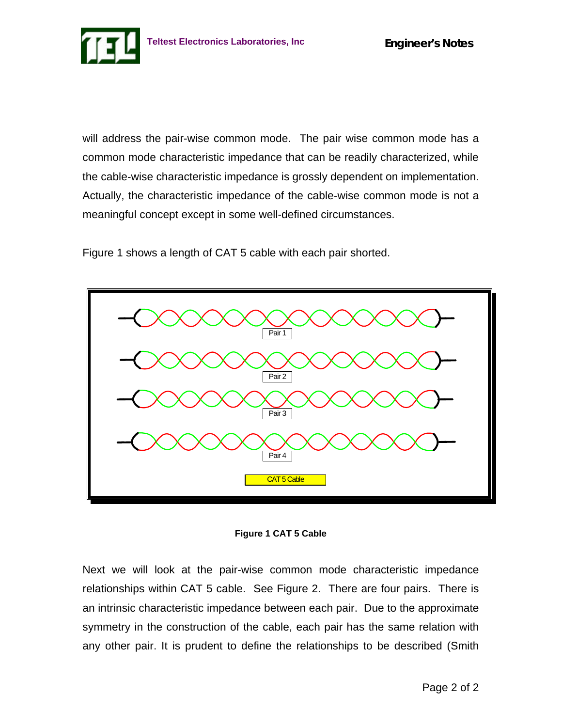will address the pair-wise common mode. The pair wise common mode has a common mode characteristic impedance that can be readily characterized, while the cable-wise characteristic impedance is grossly dependent on implementation. Actually, the characteristic impedance of the cable-wise common mode is not a meaningful concept except in some well-defined circumstances.

Figure 1 shows a length of CAT 5 cable with each pair shorted.





Next we will look at the pair-wise common mode characteristic impedance relationships within CAT 5 cable. See Figure 2. There are four pairs. There is an intrinsic characteristic impedance between each pair. Due to the approximate symmetry in the construction of the cable, each pair has the same relation with any other pair. It is prudent to define the relationships to be described (Smith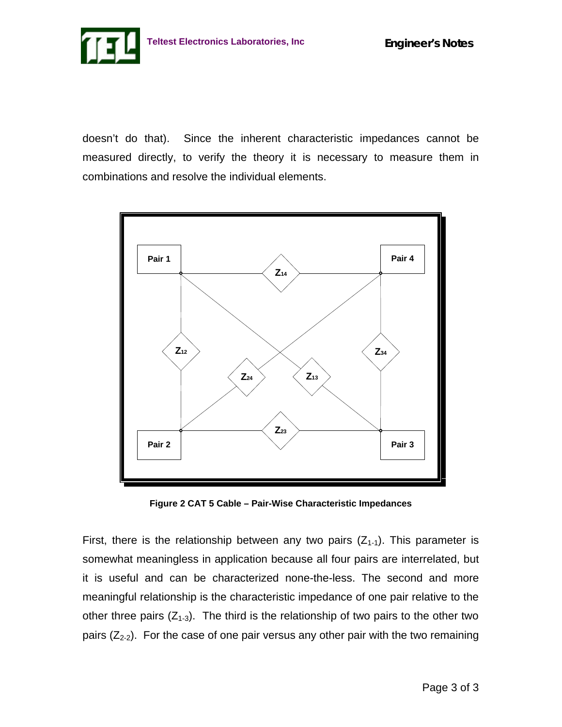

doesn't do that). Since the inherent characteristic impedances cannot be measured directly, to verify the theory it is necessary to measure them in combinations and resolve the individual elements.



**Figure 2 CAT 5 Cable – Pair-Wise Characteristic Impedances**

First, there is the relationship between any two pairs  $(Z_{1-1})$ . This parameter is somewhat meaningless in application because all four pairs are interrelated, but it is useful and can be characterized none-the-less. The second and more meaningful relationship is the characteristic impedance of one pair relative to the other three pairs  $(Z_{1-3})$ . The third is the relationship of two pairs to the other two pairs  $(Z_{2-2})$ . For the case of one pair versus any other pair with the two remaining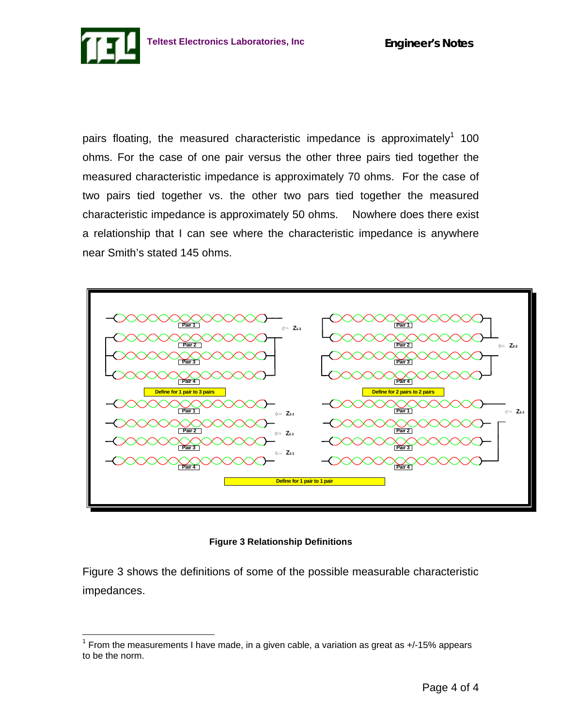pairs floating, the measured characteristic impedance is approximately<sup>1</sup> 100 ohms. For the case of one pair versus the other three pairs tied together the measured characteristic impedance is approximately 70 ohms. For the case of two pairs tied together vs. the other two pars tied together the measured characteristic impedance is approximately 50 ohms. Nowhere does there exist a relationship that I can see where the characteristic impedance is anywhere near Smith's stated 145 ohms.



#### **Figure 3 Relationship Definitions**

Figure 3 shows the definitions of some of the possible measurable characteristic impedances.

 $\overline{a}$ 

 $1$  From the measurements I have made, in a given cable, a variation as great as  $+/-15\%$  appears to be the norm.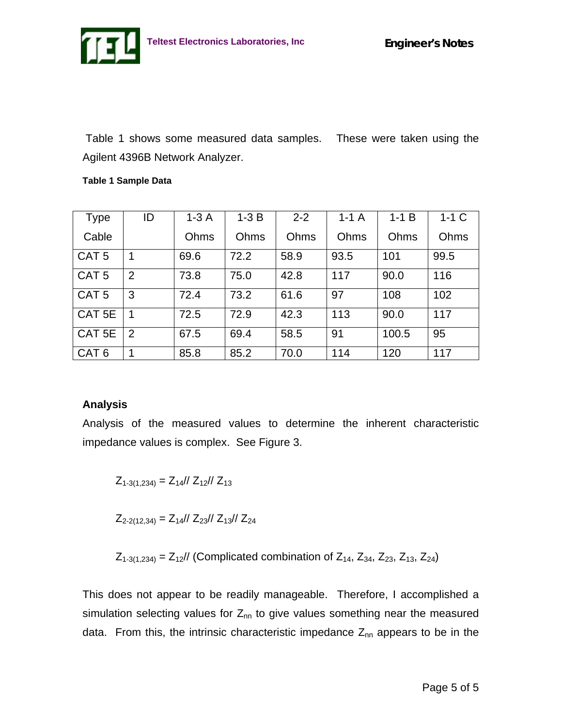Table 1 shows some measured data samples. These were taken using the Agilent 4396B Network Analyzer.

#### **Table 1 Sample Data**

| <b>Type</b>       | ID             | $1-3A$ | $1-3B$ | $2 - 2$ | $1-1A$ | $1-1B$ | $1-1$ C |
|-------------------|----------------|--------|--------|---------|--------|--------|---------|
| Cable             |                | Ohms   | Ohms   | Ohms    | Ohms   | Ohms   | Ohms    |
| CAT <sub>5</sub>  | 1              | 69.6   | 72.2   | 58.9    | 93.5   | 101    | 99.5    |
| CAT <sub>5</sub>  | 2              | 73.8   | 75.0   | 42.8    | 117    | 90.0   | 116     |
| CAT <sub>5</sub>  | 3              | 72.4   | 73.2   | 61.6    | 97     | 108    | 102     |
| CAT <sub>5E</sub> | $\overline{1}$ | 72.5   | 72.9   | 42.3    | 113    | 90.0   | 117     |
| CAT 5E            | 2              | 67.5   | 69.4   | 58.5    | 91     | 100.5  | 95      |
| CAT <sub>6</sub>  | 1              | 85.8   | 85.2   | 70.0    | 114    | 120    | 117     |

# **Analysis**

Analysis of the measured values to determine the inherent characteristic impedance values is complex. See Figure 3.

$$
Z_{1-3(1,234)} = Z_{14} / \frac{Z_{12}}{Z_{13}}
$$

 $Z_{2-2(12,34)} = Z_{14}/Z_{23}/Z_{13}/Z_{24}$ 

 $Z_{1-3(1,234)} = Z_{12}//$  (Complicated combination of  $Z_{14}$ ,  $Z_{34}$ ,  $Z_{23}$ ,  $Z_{13}$ ,  $Z_{24}$ )

This does not appear to be readily manageable. Therefore, I accomplished a simulation selecting values for  $Z_{nn}$  to give values something near the measured data. From this, the intrinsic characteristic impedance  $Z_{nn}$  appears to be in the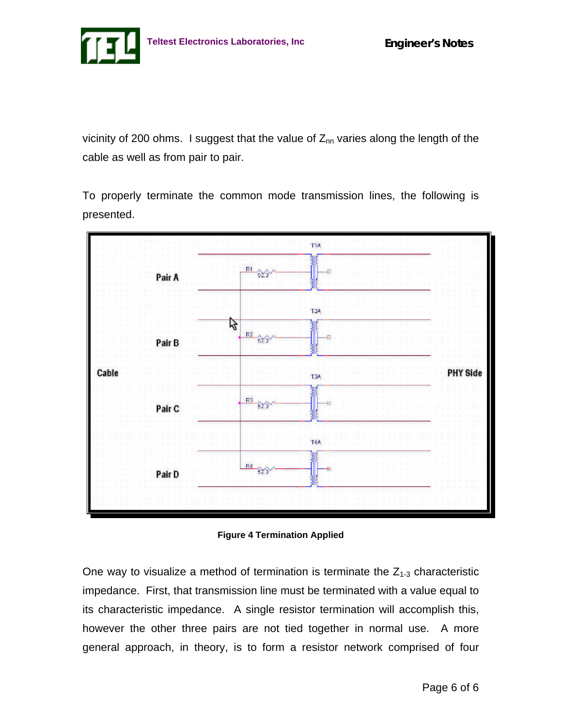

vicinity of 200 ohms. I suggest that the value of  $Z_{nn}$  varies along the length of the cable as well as from pair to pair.

To properly terminate the common mode transmission lines, the following is presented.



**Figure 4 Termination Applied**

One way to visualize a method of termination is terminate the  $Z_{1-3}$  characteristic impedance. First, that transmission line must be terminated with a value equal to its characteristic impedance. A single resistor termination will accomplish this, however the other three pairs are not tied together in normal use. A more general approach, in theory, is to form a resistor network comprised of four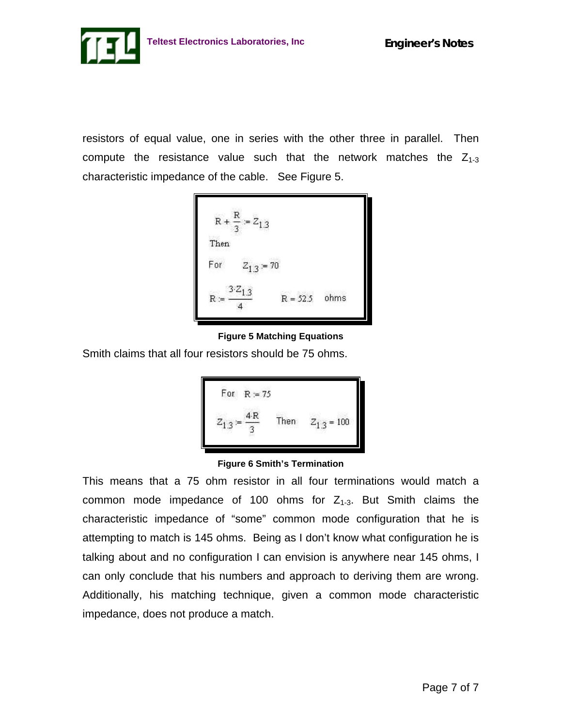

resistors of equal value, one in series with the other three in parallel. Then compute the resistance value such that the network matches the  $Z_{1-3}$ characteristic impedance of the cable. See Figure 5.



**Figure 5 Matching Equations**

Smith claims that all four resistors should be 75 ohms.



**Figure 6 Smith's Termination**

This means that a 75 ohm resistor in all four terminations would match a common mode impedance of 100 ohms for  $Z_{1-3}$ . But Smith claims the characteristic impedance of "some" common mode configuration that he is attempting to match is 145 ohms. Being as I don't know what configuration he is talking about and no configuration I can envision is anywhere near 145 ohms, I can only conclude that his numbers and approach to deriving them are wrong. Additionally, his matching technique, given a common mode characteristic impedance, does not produce a match.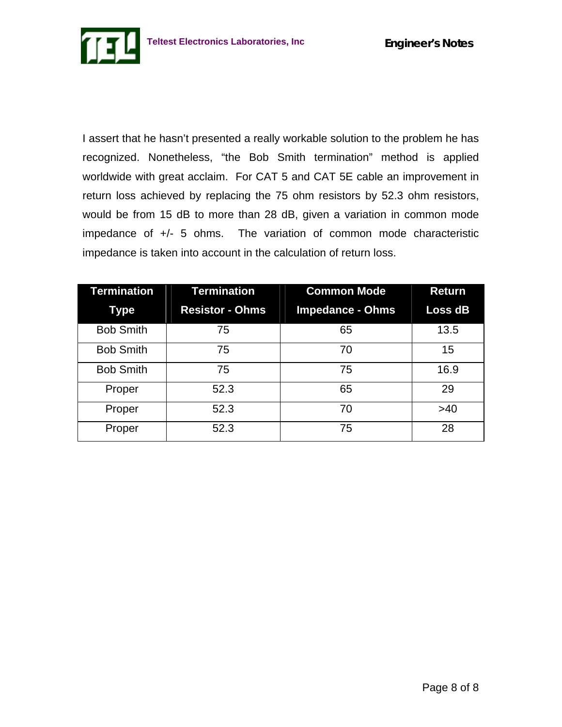

I assert that he hasn't presented a really workable solution to the problem he has recognized. Nonetheless, "the Bob Smith termination" method is applied worldwide with great acclaim. For CAT 5 and CAT 5E cable an improvement in return loss achieved by replacing the 75 ohm resistors by 52.3 ohm resistors, would be from 15 dB to more than 28 dB, given a variation in common mode impedance of +/- 5 ohms. The variation of common mode characteristic impedance is taken into account in the calculation of return loss.

| Termination      | <b>Termination</b>     | <b>Common Mode</b>      | <b>Return</b>  |
|------------------|------------------------|-------------------------|----------------|
| Type             | <b>Resistor - Ohms</b> | <b>Impedance - Ohms</b> | <b>Loss dB</b> |
| <b>Bob Smith</b> | 75                     | 65                      | 13.5           |
| <b>Bob Smith</b> | 75                     | 70                      | 15             |
| <b>Bob Smith</b> | 75                     | 75                      | 16.9           |
| Proper           | 52.3                   | 65                      | 29             |
| Proper           | 52.3                   | 70                      | >40            |
| Proper           | 52.3                   | 75                      | 28             |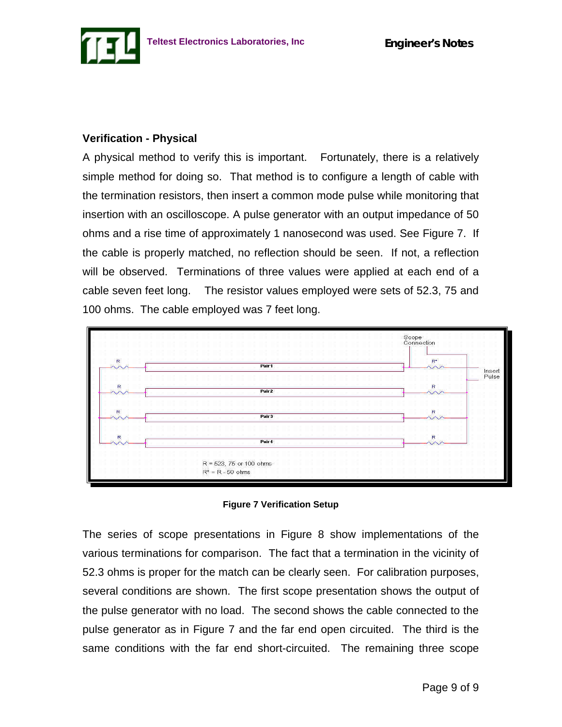

# **Verification - Physical**

A physical method to verify this is important. Fortunately, there is a relatively simple method for doing so. That method is to configure a length of cable with the termination resistors, then insert a common mode pulse while monitoring that insertion with an oscilloscope. A pulse generator with an output impedance of 50 ohms and a rise time of approximately 1 nanosecond was used. See Figure 7. If the cable is properly matched, no reflection should be seen. If not, a reflection will be observed. Terminations of three values were applied at each end of a cable seven feet long. The resistor values employed were sets of 52.3, 75 and 100 ohms. The cable employed was 7 feet long.





The series of scope presentations in Figure 8 show implementations of the various terminations for comparison. The fact that a termination in the vicinity of 52.3 ohms is proper for the match can be clearly seen. For calibration purposes, several conditions are shown. The first scope presentation shows the output of the pulse generator with no load. The second shows the cable connected to the pulse generator as in Figure 7 and the far end open circuited. The third is the same conditions with the far end short-circuited. The remaining three scope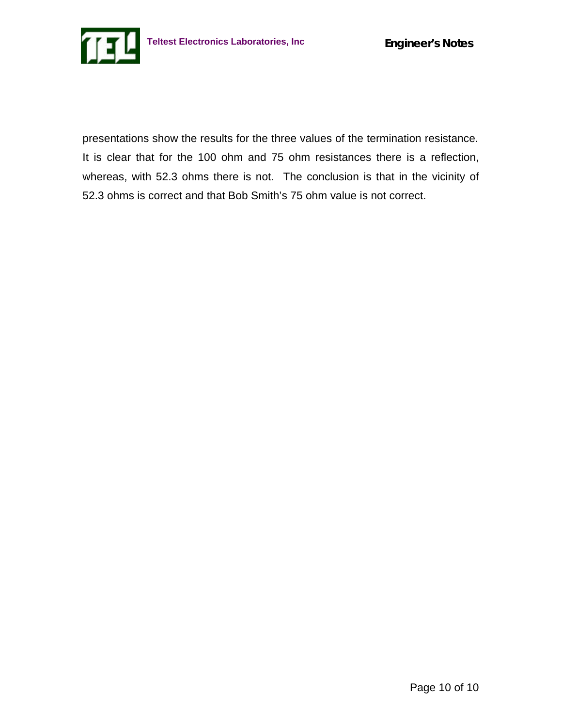

presentations show the results for the three values of the termination resistance. It is clear that for the 100 ohm and 75 ohm resistances there is a reflection, whereas, with 52.3 ohms there is not. The conclusion is that in the vicinity of 52.3 ohms is correct and that Bob Smith's 75 ohm value is not correct.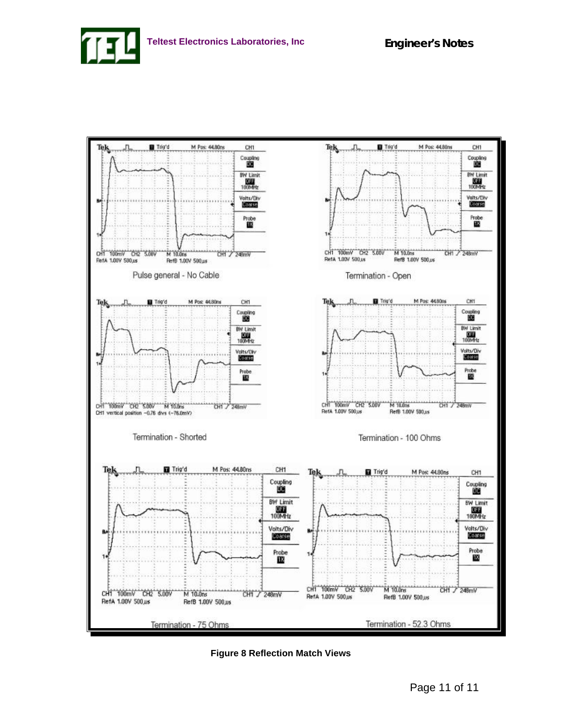



**Figure 8 Reflection Match Views**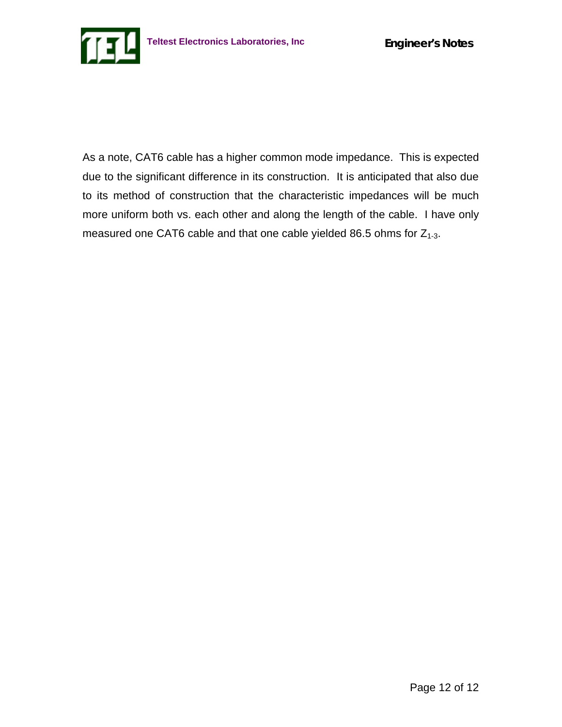As a note, CAT6 cable has a higher common mode impedance. This is expected due to the significant difference in its construction. It is anticipated that also due to its method of construction that the characteristic impedances will be much more uniform both vs. each other and along the length of the cable. I have only measured one CAT6 cable and that one cable yielded 86.5 ohms for  $Z_{1-3}$ .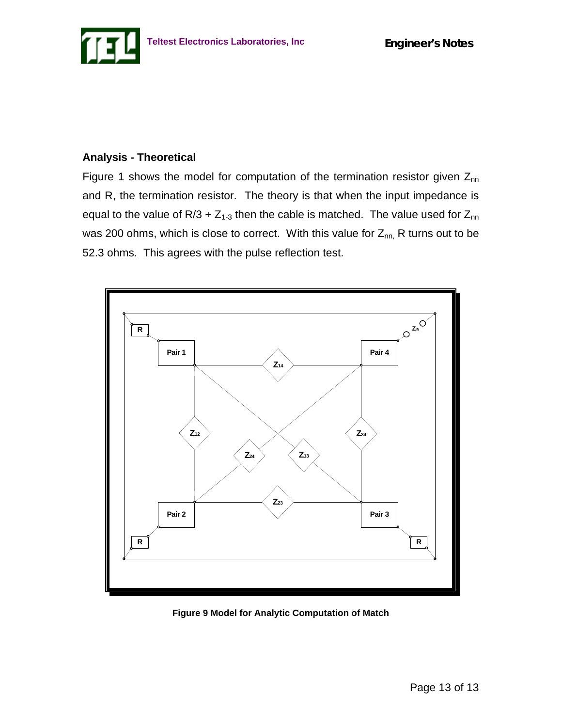

## **Analysis - Theoretical**

Figure 1 shows the model for computation of the termination resistor given  $Z_{nn}$ and R, the termination resistor. The theory is that when the input impedance is equal to the value of  $R/3 + Z_{1-3}$  then the cable is matched. The value used for  $Z_{nn}$ was 200 ohms, which is close to correct. With this value for  $Z_{nn}$ , R turns out to be 52.3 ohms. This agrees with the pulse reflection test.



**Figure 9 Model for Analytic Computation of Match**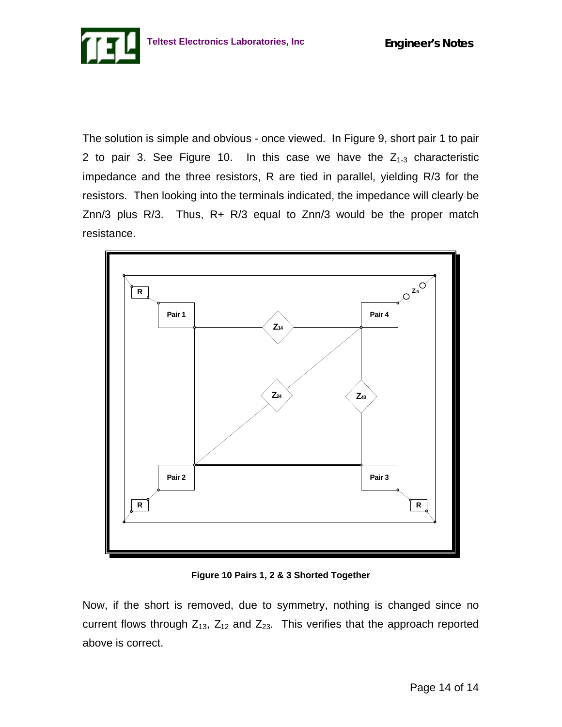

The solution is simple and obvious - once viewed. In Figure 9, short pair 1 to pair 2 to pair 3. See Figure 10. In this case we have the  $Z_{1-3}$  characteristic impedance and the three resistors, R are tied in parallel, yielding R/3 for the resistors. Then looking into the terminals indicated, the impedance will clearly be Znn/3 plus R/3. Thus, R+ R/3 equal to Znn/3 would be the proper match resistance.



**Figure 10 Pairs 1, 2 & 3 Shorted Together**

Now, if the short is removed, due to symmetry, nothing is changed since no current flows through  $Z_{13}$ ,  $Z_{12}$  and  $Z_{23}$ . This verifies that the approach reported above is correct.